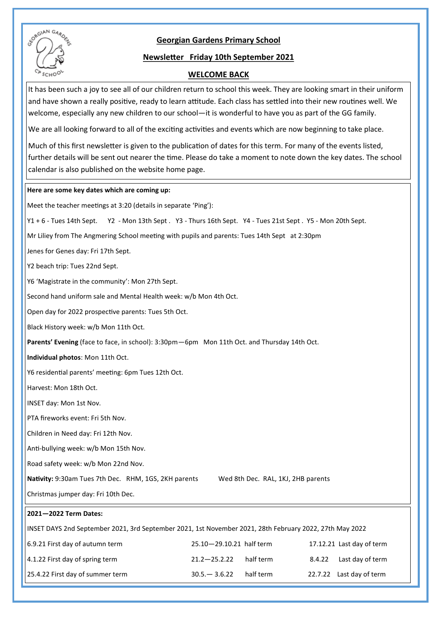# **Georgian Gardens Primary School**



## **Newsletter Friday 10th September 2021**

## **WELCOME BACK**

It has been such a joy to see all of our children return to school this week. They are looking smart in their uniform and have shown a really positive, ready to learn attitude. Each class has settled into their new routines well. We welcome, especially any new children to our school—it is wonderful to have you as part of the GG family.

We are all looking forward to all of the exciting activities and events which are now beginning to take place.

Much of this first newsletter is given to the publication of dates for this term. For many of the events listed, further details will be sent out nearer the time. Please do take a moment to note down the key dates. The school calendar is also published on the website home page.

### **Here are some key dates which are coming up:**

| Meet the teacher meetings at 3:20 (details in separate 'Ping'):                                             |
|-------------------------------------------------------------------------------------------------------------|
| Y1 + 6 - Tues 14th Sept. Y2 - Mon 13th Sept. Y3 - Thurs 16th Sept. Y4 - Tues 21st Sept. Y5 - Mon 20th Sept. |
| Mr Liliey from The Angmering School meeting with pupils and parents: Tues 14th Sept at 2:30pm               |
| Jenes for Genes day: Fri 17th Sept.                                                                         |
| Y2 beach trip: Tues 22nd Sept.                                                                              |
| Y6 'Magistrate in the community': Mon 27th Sept.                                                            |
| Second hand uniform sale and Mental Health week: w/b Mon 4th Oct.                                           |
| Open day for 2022 prospective parents: Tues 5th Oct.                                                        |
| Black History week: w/b Mon 11th Oct.                                                                       |
| Parents' Evening (face to face, in school): 3:30pm-6pm Mon 11th Oct. and Thursday 14th Oct.                 |
| Individual photos: Mon 11th Oct.                                                                            |
| Y6 residential parents' meeting: 6pm Tues 12th Oct.                                                         |
| Harvest: Mon 18th Oct.                                                                                      |
| INSET day: Mon 1st Nov.                                                                                     |
| PTA fireworks event: Fri 5th Nov.                                                                           |
| Children in Need day: Fri 12th Nov.                                                                         |
| Anti-bullying week: w/b Mon 15th Nov.                                                                       |
| Road safety week: w/b Mon 22nd Nov.                                                                         |
| Nativity: 9:30am Tues 7th Dec. RHM, 1GS, 2KH parents<br>Wed 8th Dec. RAL, 1KJ, 2HB parents                  |
| Christmas jumper day: Fri 10th Dec.                                                                         |
| 2021-2022 Term Dates:                                                                                       |
| INSET DAYS 2nd September 2021, 3rd September 2021, 1st November 2021, 28th February 2022, 27th May 2022     |
| 6.9.21 First day of autumn term<br>17.12.21 Last day of term<br>25.10-29.10.21 half term                    |
| 4.1.22 First day of spring term<br>half term<br>8.4.22<br>Last day of term<br>$21.2 - 25.2.22$              |
| 25.4.22 First day of summer term<br>half term<br>$30.5 - 3.6.22$<br>22.7.22<br>Last day of term             |
|                                                                                                             |